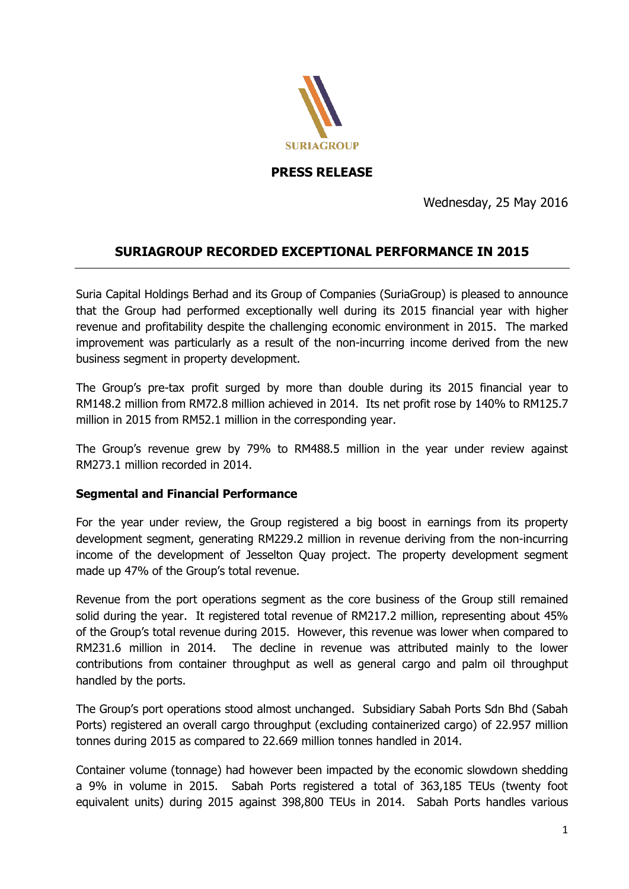

**PRESS RELEASE** 

Wednesday, 25 May 2016

# **SURIAGROUP RECORDED EXCEPTIONAL PERFORMANCE IN 2015**

Suria Capital Holdings Berhad and its Group of Companies (SuriaGroup) is pleased to announce that the Group had performed exceptionally well during its 2015 financial year with higher revenue and profitability despite the challenging economic environment in 2015. The marked improvement was particularly as a result of the non-incurring income derived from the new business segment in property development.

The Group's pre-tax profit surged by more than double during its 2015 financial year to RM148.2 million from RM72.8 million achieved in 2014. Its net profit rose by 140% to RM125.7 million in 2015 from RM52.1 million in the corresponding year.

The Group's revenue grew by 79% to RM488.5 million in the year under review against RM273.1 million recorded in 2014.

### **Segmental and Financial Performance**

For the year under review, the Group registered a big boost in earnings from its property development segment, generating RM229.2 million in revenue deriving from the non-incurring income of the development of Jesselton Quay project. The property development segment made up 47% of the Group's total revenue.

Revenue from the port operations segment as the core business of the Group still remained solid during the year. It registered total revenue of RM217.2 million, representing about 45% of the Group's total revenue during 2015. However, this revenue was lower when compared to RM231.6 million in 2014. The decline in revenue was attributed mainly to the lower contributions from container throughput as well as general cargo and palm oil throughput handled by the ports.

The Group's port operations stood almost unchanged. Subsidiary Sabah Ports Sdn Bhd (Sabah Ports) registered an overall cargo throughput (excluding containerized cargo) of 22.957 million tonnes during 2015 as compared to 22.669 million tonnes handled in 2014.

Container volume (tonnage) had however been impacted by the economic slowdown shedding a 9% in volume in 2015. Sabah Ports registered a total of 363,185 TEUs (twenty foot equivalent units) during 2015 against 398,800 TEUs in 2014. Sabah Ports handles various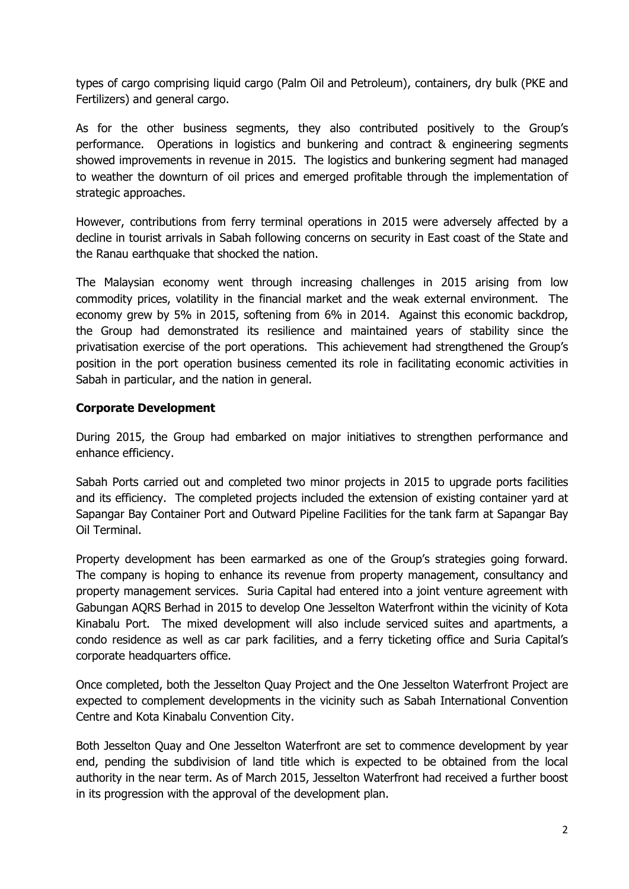types of cargo comprising liquid cargo (Palm Oil and Petroleum), containers, dry bulk (PKE and Fertilizers) and general cargo.

As for the other business segments, they also contributed positively to the Group's performance. Operations in logistics and bunkering and contract & engineering segments showed improvements in revenue in 2015. The logistics and bunkering segment had managed to weather the downturn of oil prices and emerged profitable through the implementation of strategic approaches.

However, contributions from ferry terminal operations in 2015 were adversely affected by a decline in tourist arrivals in Sabah following concerns on security in East coast of the State and the Ranau earthquake that shocked the nation.

The Malaysian economy went through increasing challenges in 2015 arising from low commodity prices, volatility in the financial market and the weak external environment. The economy grew by 5% in 2015, softening from 6% in 2014. Against this economic backdrop, the Group had demonstrated its resilience and maintained years of stability since the privatisation exercise of the port operations. This achievement had strengthened the Group's position in the port operation business cemented its role in facilitating economic activities in Sabah in particular, and the nation in general.

## **Corporate Development**

During 2015, the Group had embarked on major initiatives to strengthen performance and enhance efficiency.

Sabah Ports carried out and completed two minor projects in 2015 to upgrade ports facilities and its efficiency. The completed projects included the extension of existing container yard at Sapangar Bay Container Port and Outward Pipeline Facilities for the tank farm at Sapangar Bay Oil Terminal.

Property development has been earmarked as one of the Group's strategies going forward. The company is hoping to enhance its revenue from property management, consultancy and property management services. Suria Capital had entered into a joint venture agreement with Gabungan AQRS Berhad in 2015 to develop One Jesselton Waterfront within the vicinity of Kota Kinabalu Port. The mixed development will also include serviced suites and apartments, a condo residence as well as car park facilities, and a ferry ticketing office and Suria Capital's corporate headquarters office.

Once completed, both the Jesselton Quay Project and the One Jesselton Waterfront Project are expected to complement developments in the vicinity such as Sabah International Convention Centre and Kota Kinabalu Convention City.

Both Jesselton Quay and One Jesselton Waterfront are set to commence development by year end, pending the subdivision of land title which is expected to be obtained from the local authority in the near term. As of March 2015, Jesselton Waterfront had received a further boost in its progression with the approval of the development plan.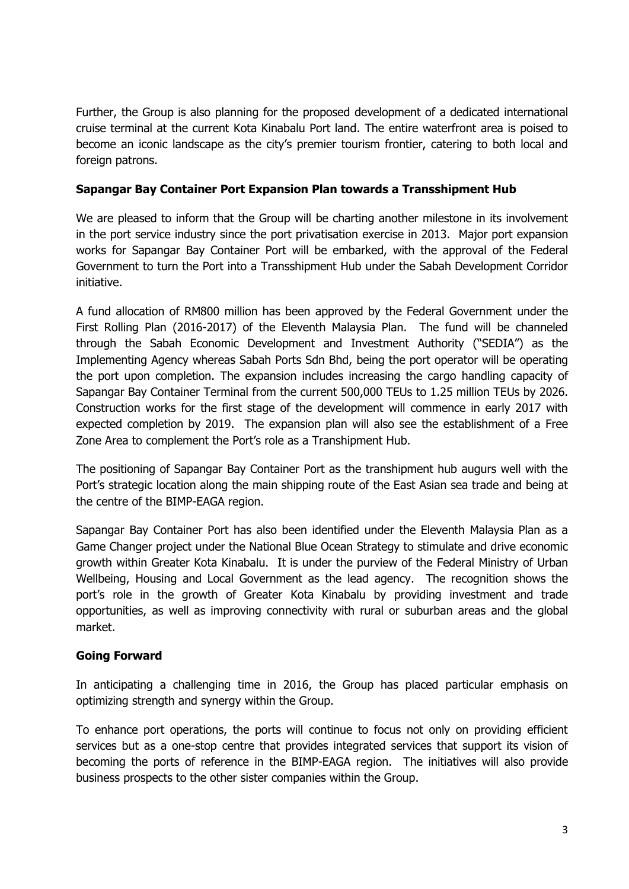Further, the Group is also planning for the proposed development of a dedicated international cruise terminal at the current Kota Kinabalu Port land. The entire waterfront area is poised to become an iconic landscape as the city's premier tourism frontier, catering to both local and foreign patrons.

## **Sapangar Bay Container Port Expansion Plan towards a Transshipment Hub**

We are pleased to inform that the Group will be charting another milestone in its involvement in the port service industry since the port privatisation exercise in 2013. Major port expansion works for Sapangar Bay Container Port will be embarked, with the approval of the Federal Government to turn the Port into a Transshipment Hub under the Sabah Development Corridor initiative.

A fund allocation of RM800 million has been approved by the Federal Government under the First Rolling Plan (2016-2017) of the Eleventh Malaysia Plan. The fund will be channeled through the Sabah Economic Development and Investment Authority ("SEDIA") as the Implementing Agency whereas Sabah Ports Sdn Bhd, being the port operator will be operating the port upon completion. The expansion includes increasing the cargo handling capacity of Sapangar Bay Container Terminal from the current 500,000 TEUs to 1.25 million TEUs by 2026. Construction works for the first stage of the development will commence in early 2017 with expected completion by 2019. The expansion plan will also see the establishment of a Free Zone Area to complement the Port's role as a Transhipment Hub.

The positioning of Sapangar Bay Container Port as the transhipment hub augurs well with the Port's strategic location along the main shipping route of the East Asian sea trade and being at the centre of the BIMP-EAGA region.

Sapangar Bay Container Port has also been identified under the Eleventh Malaysia Plan as a Game Changer project under the National Blue Ocean Strategy to stimulate and drive economic growth within Greater Kota Kinabalu. It is under the purview of the Federal Ministry of Urban Wellbeing, Housing and Local Government as the lead agency. The recognition shows the port's role in the growth of Greater Kota Kinabalu by providing investment and trade opportunities, as well as improving connectivity with rural or suburban areas and the global market.

### **Going Forward**

In anticipating a challenging time in 2016, the Group has placed particular emphasis on optimizing strength and synergy within the Group.

To enhance port operations, the ports will continue to focus not only on providing efficient services but as a one-stop centre that provides integrated services that support its vision of becoming the ports of reference in the BIMP-EAGA region. The initiatives will also provide business prospects to the other sister companies within the Group.